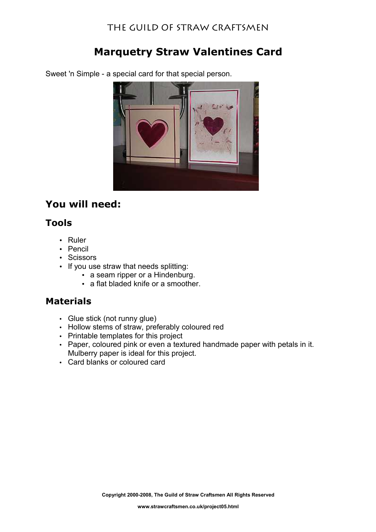# **Marquetry Straw Valentines Card**

Sweet 'n Simple - a special card for that special person.

# **You will need:**

### **Tools**

- Ruler
- Pencil
- Scissors
- If you use straw that needs splitting:
	- a seam ripper or a Hindenburg.
		- a flat bladed knife or a smoother.

### **Materials**

- Glue stick (not runny glue)
- Hollow stems of straw, preferably coloured red
- Printable templates for this project
- Paper, coloured pink or even a textured handmade paper with petals in it. Mulberry paper is ideal for this project.
- Card blanks or coloured card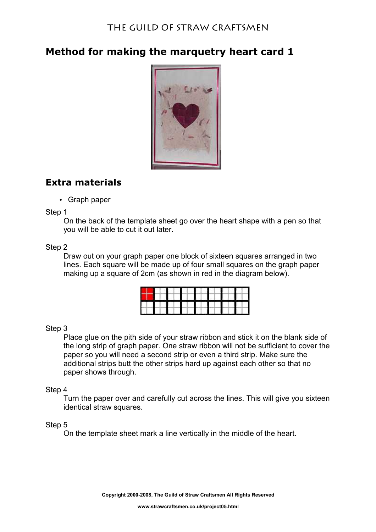# **Method for making the marquetry heart card 1**



# **Extra materials**

• Graph paper

Step 1

On the back of the template sheet go over the heart shape with a pen so that you will be able to cut it out later.

### Step 2

Draw out on your graph paper one block of sixteen squares arranged in two lines. Each square will be made up of four small squares on the graph paper making up a square of 2cm (as shown in red in the diagram below).

### Step 3

Place glue on the pith side of your straw ribbon and stick it on the blank side of the long strip of graph paper. One straw ribbon will not be sufficient to cover the paper so you will need a second strip or even a third strip. Make sure the additional strips butt the other strips hard up against each other so that no paper shows through.

### Step 4

Turn the paper over and carefully cut across the lines. This will give you sixteen identical straw squares.

### Step 5

On the template sheet mark a line vertically in the middle of the heart.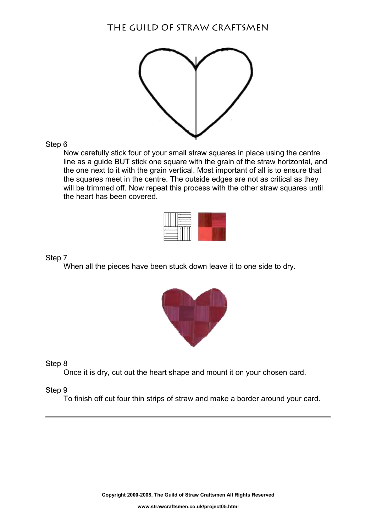

Step 6

Now carefully stick four of your small straw squares in place using the centre line as a guide BUT stick one square with the grain of the straw horizontal, and the one next to it with the grain vertical. Most important of all is to ensure that the squares meet in the centre. The outside edges are not as critical as they will be trimmed off. Now repeat this process with the other straw squares until the heart has been covered.

Step 7

When all the pieces have been stuck down leave it to one side to dry.



Step 8

Once it is dry, cut out the heart shape and mount it on your chosen card.

Step 9

To finish off cut four thin strips of straw and make a border around your card.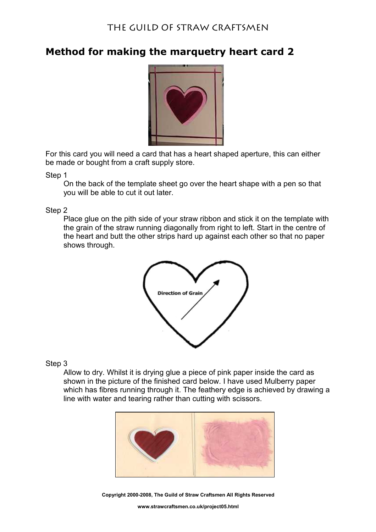## **Method for making the marquetry heart card 2**



For this card you will need a card that has a heart shaped aperture, this can either be made or bought from a craft supply store.

Step 1

On the back of the template sheet go over the heart shape with a pen so that you will be able to cut it out later.

Step 2

Place glue on the pith side of your straw ribbon and stick it on the template with the grain of the straw running diagonally from right to left. Start in the centre of the heart and butt the other strips hard up against each other so that no paper shows through.



Step 3

Allow to dry. Whilst it is drying glue a piece of pink paper inside the card as shown in the picture of the finished card below. I have used Mulberry paper which has fibres running through it. The feathery edge is achieved by drawing a line with water and tearing rather than cutting with scissors.



**Copyright 2000-2008, The Guild of Straw Craftsmen All Rights Reserved**